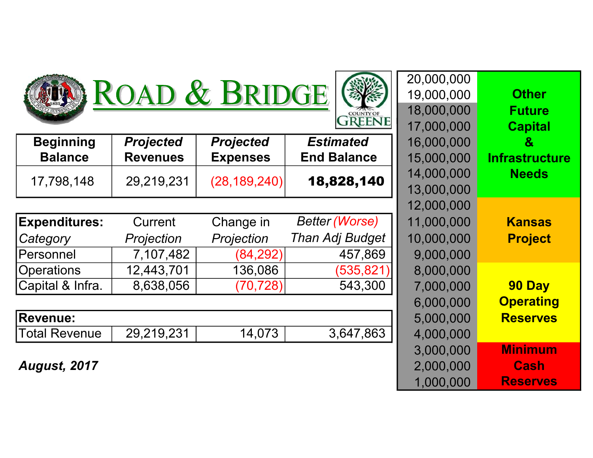





|                       | 16,000,000 | <b>Estimated</b>   | <b>Projected</b> | <b>Projected</b> | <b>Beginning</b> |
|-----------------------|------------|--------------------|------------------|------------------|------------------|
| <b>Infrastructure</b> | 15,000,000 | <b>End Balance</b> | <b>Expenses</b>  | <b>Revenues</b>  | <b>Balance</b>   |
| <b>Needs</b>          | 14,000,000 | 18,828,140         | (28, 189, 240)   | 29,219,231       |                  |
|                       | 13,000,000 |                    |                  |                  | 17,798,148       |

| <b>Expenditures:</b> | Current    | Change in  | <b>Better (Worse)</b> | 11,000,000 | <b>Kansas</b>  |
|----------------------|------------|------------|-----------------------|------------|----------------|
| Category             | Projection | Projection | Than Adj Budget       | 10,000,000 | <b>Project</b> |
| Personnel            | 7,107,482  | (84, 292)  | 457,869               | 9,000,000  |                |
| <b>Operations</b>    | 12,443,701 | 136,086    | (535, 821)            | 8,000,000  |                |
| Capital & Infra.     | 8,638,056  | (70, 728)  | 543,300               | 7,000,000  | 90 Day         |

| <b>Revenue:</b>      |            |        |           | 5,000,000 | <b>Reserves</b> |
|----------------------|------------|--------|-----------|-----------|-----------------|
| <b>Total Revenue</b> | 29,219,231 | 14,073 | 3,647,863 | 4,000,000 |                 |

**August, 2017** 

| 20,000,000 |                  |
|------------|------------------|
| 19,000,000 | <b>Other</b>     |
| 18,000,000 | <b>Future</b>    |
| 17,000,000 | <b>Capital</b>   |
| 16,000,000 | $\mathbf{g}$     |
| 15,000,000 | Infrastructure   |
| 14,000,000 | <b>Needs</b>     |
| 13,000,000 |                  |
| 12,000,000 |                  |
| 11,000,000 | Kansas           |
| 10,000,000 | <b>Project</b>   |
| 9,000,000  |                  |
| 8,000,000  |                  |
| 7,000,000  | 90 Day           |
| 6,000,000  | <b>Operating</b> |
| 5,000,000  | <b>Reserves</b>  |
| 4,000,000  |                  |
| 3,000,000  | <b>Minimum</b>   |
| 2,000,000  | Cash             |
| 1,000,000  | <b>Reserves</b>  |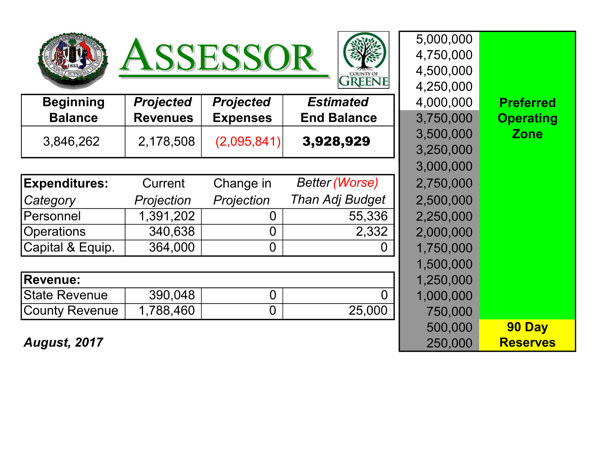





|                           | 5,000,000 |                  |
|---------------------------|-----------|------------------|
|                           | 4,750,000 |                  |
|                           | 4,500,000 |                  |
|                           | 4,250,000 |                  |
|                           | 4,000,000 | <b>Preferred</b> |
|                           | 3,750,000 | <b>Operating</b> |
|                           | 3,500,000 | <b>Zone</b>      |
|                           | 3,250,000 |                  |
|                           | 3,000,000 |                  |
|                           | 2,750,000 |                  |
|                           | 2,500,000 |                  |
|                           | 2,250,000 |                  |
| $\frac{6}{2}$             | 2,000,000 |                  |
|                           | 1,750,000 |                  |
|                           | 1,500,000 |                  |
|                           | 1,250,000 |                  |
| $\mathbf{0}$              | 1,000,000 |                  |
| $\overline{\overline{0}}$ | 750,000   |                  |
|                           | 500,000   | 90 Day           |
|                           | 250,000   | <b>Reserves</b>  |

| <b>Beginning</b> | <b>Projected</b> | <b>Projected</b> | <b>Estimated</b>   | 4,000,000              | <b>Preferred</b> |
|------------------|------------------|------------------|--------------------|------------------------|------------------|
| <b>Balance</b>   | <b>Revenues</b>  | <b>Expenses</b>  | <b>End Balance</b> | 3,750,000              | <b>Operating</b> |
| 3,846,262        | 2,178,508        | (2,095,841)      | 3,928,929          | 3,500,000<br>3,250,000 | <b>Zone</b>      |

| <b>Expenditures:</b> | Current    | Change in  | <b>Better (Worse)</b> | 2,750,000 |
|----------------------|------------|------------|-----------------------|-----------|
| Category             | Projection | Projection | Than Adj Budget       | 2,500,000 |
| <b>Personnel</b>     | 1,391,202  |            | 55,336                | 2,250,000 |
| <b>Operations</b>    | 340,638    |            | 2,332                 | 2,000,000 |
| Capital & Equip.     | 364,000    | 0          | 0                     | 1,750,000 |
|                      |            |            |                       | 1,500,000 |
| <b>Revenue:</b>      | 1,250,000  |            |                       |           |
| <b>State Revenue</b> | 390,048    | O          | $\overline{0}$        | 1,000,000 |
| County Revenue       | 1,788,460  | 0          | 25,000                | 750,000   |

**August, 2017**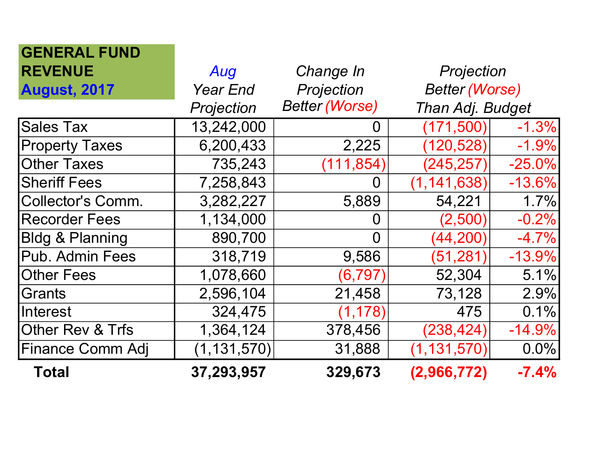| <b>GENERAL FUND</b>        |                 |                       |                       |          |
|----------------------------|-----------------|-----------------------|-----------------------|----------|
| <b>REVENUE</b>             | Aug             | Change In             | Projection            |          |
| <b>August, 2017</b>        | <b>Year End</b> | Projection            | <b>Better (Worse)</b> |          |
|                            | Projection      | <b>Better (Worse)</b> | Than Adj. Budget      |          |
| <b>Sales Tax</b>           | 13,242,000      | O                     | (171, 500)            | $-1.3%$  |
| <b>Property Taxes</b>      | 6,200,433       | 2,225                 | (120, 528)            | $-1.9%$  |
| <b>Other Taxes</b>         | 735,243         | (111, 854)            | (245, 257)            | $-25.0%$ |
| <b>Sheriff Fees</b>        | 7,258,843       |                       | (1, 141, 638)         | $-13.6%$ |
| <b>Collector's Comm.</b>   | 3,282,227       | 5,889                 | 54,221                | 1.7%     |
| <b>Recorder Fees</b>       | 1,134,000       | O                     | (2,500)               | $-0.2%$  |
| <b>Bldg &amp; Planning</b> | 890,700         | O                     | (44, 200)             | $-4.7%$  |
| <b>Pub. Admin Fees</b>     | 318,719         | 9,586                 | (51, 281)             | $-13.9%$ |
| <b>Other Fees</b>          | 1,078,660       | (6,797                | 52,304                | 5.1%     |
| Grants                     | 2,596,104       | 21,458                | 73,128                | 2.9%     |
| Interest                   | 324,475         | (1, 178)              | 475                   | 0.1%     |
| Other Rev & Trfs           | 1,364,124       | 378,456               | (238, 424)            | $-14.9%$ |
| <b>Finance Comm Adj</b>    | (1, 131, 570)   | 31,888                | (1, 131, 570)         | $0.0\%$  |
| Total                      | 37,293,957      | 329,673               | (2,966,772)           | $-7.4%$  |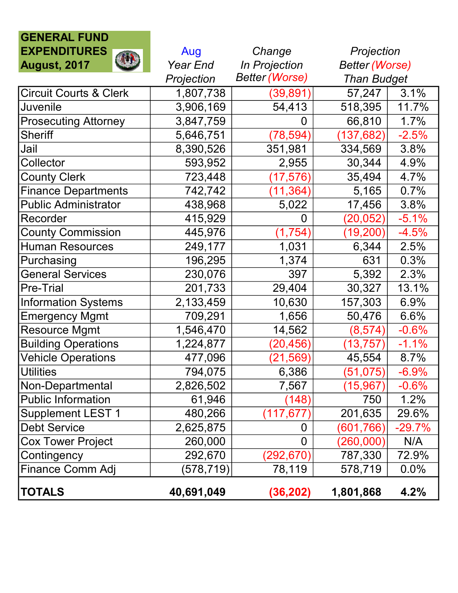| <b>GENERAL FUND</b>               |                 |                       |                       |          |
|-----------------------------------|-----------------|-----------------------|-----------------------|----------|
| <b>EXPENDITURES</b>               | Aug             | Change                | Projection            |          |
| <b>August, 2017</b>               | <b>Year End</b> | <b>In Projection</b>  | <b>Better (Worse)</b> |          |
|                                   | Projection      | <b>Better (Worse)</b> | <b>Than Budget</b>    |          |
| <b>Circuit Courts &amp; Clerk</b> | 1,807,738       | (39, 891)             | 57,247                | 3.1%     |
| Juvenile                          | 3,906,169       | 54,413                | 518,395               | 11.7%    |
| <b>Prosecuting Attorney</b>       | 3,847,759       | 0                     | 66,810                | 1.7%     |
| <b>Sheriff</b>                    | 5,646,751       | (78, 594)             | (137, 682)            | $-2.5%$  |
| Jail                              | 8,390,526       | 351,981               | 334,569               | 3.8%     |
| Collector                         | 593,952         | 2,955                 | 30,344                | 4.9%     |
| <b>County Clerk</b>               | 723,448         | (17, 576)             | 35,494                | 4.7%     |
| <b>Finance Departments</b>        | 742,742         | (11, 364)             | 5,165                 | 0.7%     |
| <b>Public Administrator</b>       | 438,968         | 5,022                 | 17,456                | 3.8%     |
| Recorder                          | 415,929         | 0                     | (20, 052)             | $-5.1%$  |
| <b>County Commission</b>          | 445,976         | (1,754)               | (19, 200)             | $-4.5%$  |
| <b>Human Resources</b>            | 249,177         | 1,031                 | 6,344                 | 2.5%     |
| Purchasing                        | 196,295         | 1,374                 | 631                   | 0.3%     |
| <b>General Services</b>           | 230,076         | 397                   | 5,392                 | 2.3%     |
| <b>Pre-Trial</b>                  | 201,733         | 29,404                | 30,327                | 13.1%    |
| <b>Information Systems</b>        | 2,133,459       | 10,630                | 157,303               | 6.9%     |
| <b>Emergency Mgmt</b>             | 709,291         | 1,656                 | 50,476                | 6.6%     |
| <b>Resource Mgmt</b>              | 1,546,470       | 14,562                | (8, 574)              | $-0.6%$  |
| <b>Building Operations</b>        | 1,224,877       | (20, 456)             | (13, 757)             | $-1.1%$  |
| <b>Vehicle Operations</b>         | 477,096         | (21, 569)             | 45,554                | 8.7%     |
| <b>Utilities</b>                  | 794,075         | 6,386                 | (51, 075)             | $-6.9%$  |
| Non-Departmental                  | 2,826,502       | 7,567                 | (15,967)              | $-0.6%$  |
| <b>Public Information</b>         | 61,946          | (148)                 | 750                   | 1.2%     |
| <b>Supplement LEST 1</b>          | 480,266         | (117,677              | 201,635               | 29.6%    |
| <b>Debt Service</b>               | 2,625,875       | $\boldsymbol{0}$      | (601, 766)            | $-29.7%$ |
| <b>Cox Tower Project</b>          | 260,000         | $\overline{0}$        | (260,000)             | N/A      |
| Contingency                       | 292,670         | (292, 670)            | 787,330               | 72.9%    |
| <b>Finance Comm Adj</b>           | (578, 719)      | 78,119                | 578,719               | 0.0%     |
| <b>TOTALS</b>                     | 40,691,049      | (36, 202)             | 1,801,868             | 4.2%     |